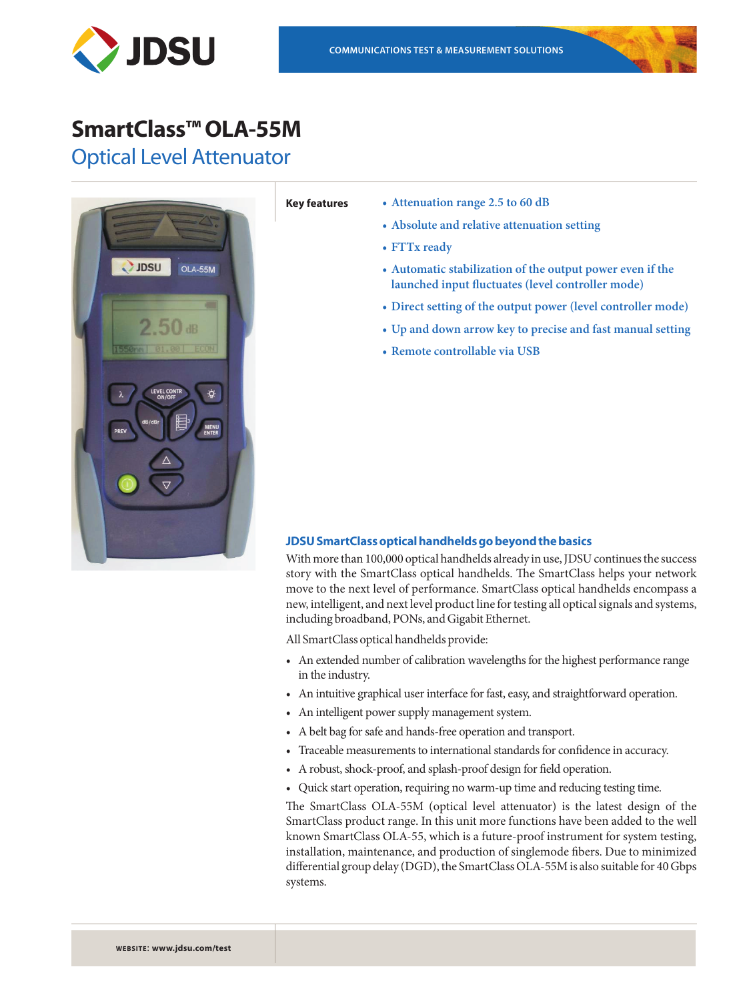



# **SmartClass™ OLA-55M**

Optical Level Attenuator



- **Key features • Attenuation range 2.5 to 60 dB** 
	- **• Absolute and relative attenuation setting**
	- **• FTTx ready**
	- **• Automatic stabilization of the output power even if the launched input fluctuates (level controller mode)**
	- **• Direct setting of the output power (level controller mode)**
	- **• Up and down arrow key to precise and fast manual setting**
	- **• Remote controllable via USB**

# **JDSU SmartClass optical handhelds go beyond the basics**

With more than 100,000 optical handhelds already in use, JDSU continues the success story with the SmartClass optical handhelds. The SmartClass helps your network move to the next level of performance. SmartClass optical handhelds encompass a new, intelligent, and next level product line for testing all optical signals and systems, including broadband, PONs, and Gigabit Ethernet.

All SmartClass optical handhelds provide:

- An extended number of calibration wavelengths for the highest performance range in the industry.
- An intuitive graphical user interface for fast, easy, and straightforward operation.
- An intelligent power supply management system.
- • A belt bag for safe and hands-free operation and transport.
- • Traceable measurements to international standards for confidence in accuracy.
- • A robust, shock-proof, and splash-proof design for field operation.
- • Quick start operation, requiring no warm-up time and reducing testing time.

The SmartClass OLA-55M (optical level attenuator) is the latest design of the SmartClass product range. In this unit more functions have been added to the well known SmartClass OLA-55, which is a future-proof instrument for system testing, installation, maintenance, and production of singlemode fibers. Due to minimized differential group delay (DGD), the SmartClass OLA-55M is also suitable for 40 Gbps systems.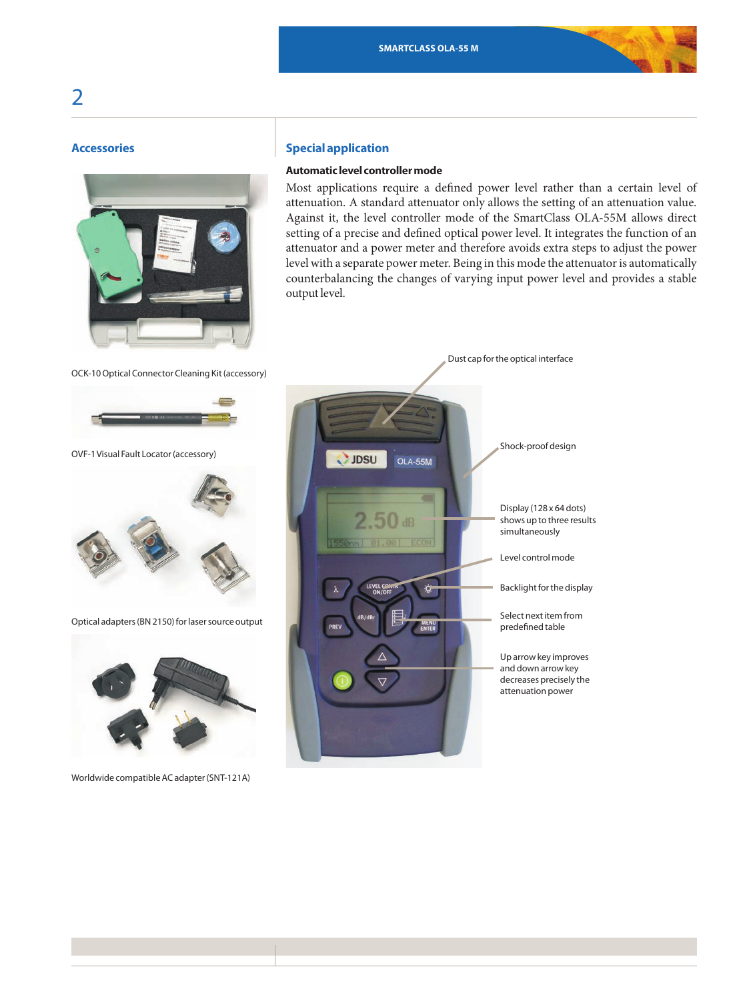# **Accessories**



# **Special application**

# **Automatic level controller mode**

Most applications require a defined power level rather than a certain level of attenuation. A standard attenuator only allows the setting of an attenuation value. Against it, the level controller mode of the SmartClass OLA-55M allows direct setting of a precise and defined optical power level. It integrates the function of an attenuator and a power meter and therefore avoids extra steps to adjust the power level with a separate power meter. Being in this mode the attenuator is automatically counterbalancing the changes of varying input power level and provides a stable output level.



Worldwide compatible AC adapter (SNT-121A)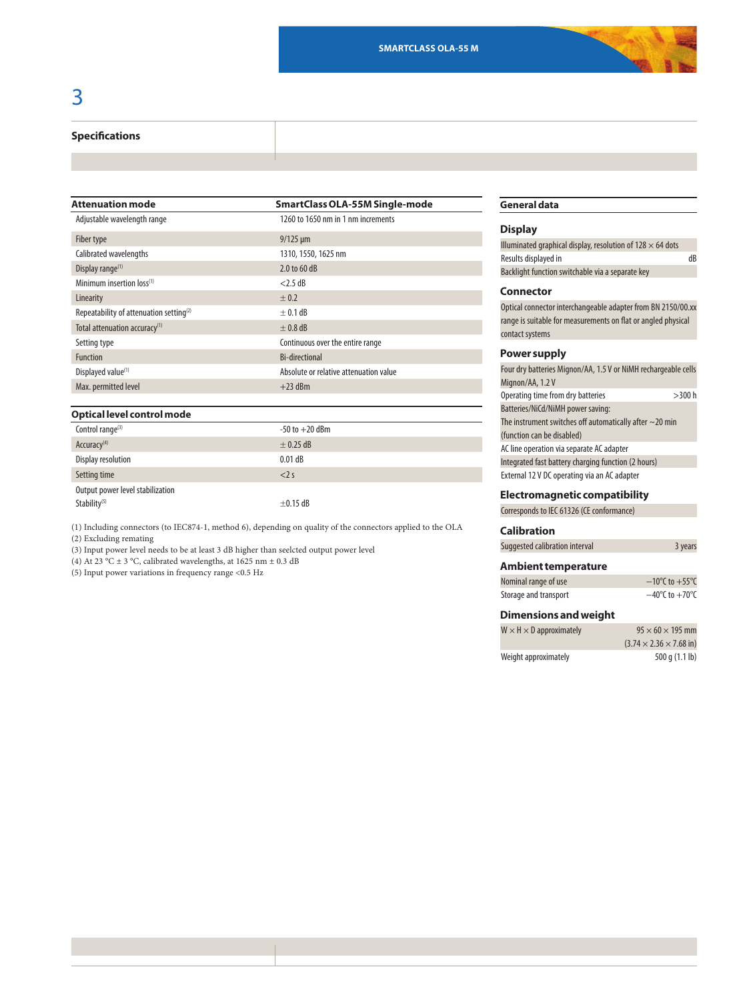#### **Specifications**

| <b>Attenuation mode</b>                             | <b>SmartClass OLA-55M Single-mode</b>  |
|-----------------------------------------------------|----------------------------------------|
| Adjustable wavelength range                         | 1260 to 1650 nm in 1 nm increments     |
| Fiber type                                          | $9/125 \,\mu m$                        |
| Calibrated wavelengths                              | 1310, 1550, 1625 nm                    |
| Display range <sup>(1)</sup>                        | 2.0 to 60 dB                           |
| Minimum insertion loss <sup>(1)</sup>               | $<$ 2.5 dB                             |
| Linearity                                           | $+0.2$                                 |
| Repeatability of attenuation setting <sup>(2)</sup> | $+0.1$ dB                              |
| Total attenuation accuracy <sup>(1)</sup>           | $+0.8$ dB                              |
| Setting type                                        | Continuous over the entire range       |
| <b>Function</b>                                     | <b>Bi-directional</b>                  |
| Displayed value <sup>(1)</sup>                      | Absolute or relative attenuation value |
| Max. permitted level                                | $+23$ dBm                              |
|                                                     |                                        |

#### **Optical level control mode**

| Control range $(3)$              | $-50$ to $+20$ dBm |
|----------------------------------|--------------------|
| Accuracy <sup>(4)</sup>          | $\pm$ 0.25 dB      |
| Display resolution               | $0.01$ dB          |
| Setting time                     | $<$ 2 s            |
| Output power level stabilization |                    |
| Stability <sup>(5)</sup>         | $\pm$ 0.15 dB      |

(1) Including connectors (to IEC874-1, method 6), depending on quality of the connectors applied to the OLA (2) Excluding remating

(3) Input power level needs to be at least 3 dB higher than seelcted output power level

(4) At 23 °C  $\pm$  3 °C, calibrated wavelengths, at 1625 nm  $\pm$  0.3 dB

(5) Input power variations in frequency range <0.5 Hz

# **General data**

#### **Display**

| Illuminated graphical display, resolution of $128 \times 64$ dots |    |
|-------------------------------------------------------------------|----|
| Results displayed in                                              | dB |
| Backlight function switchable via a separate key                  |    |

## **Connector**

Optical connector interchangeable adapter from BN 2150/00.xx range is suitable for measurements on flat or angled physical contact systems

### **Power supply**

| Four dry batteries Mignon/AA, 1.5 V or NiMH rechargeable cells |
|----------------------------------------------------------------|
|                                                                |
| >300 h                                                         |
|                                                                |
|                                                                |
|                                                                |
|                                                                |
|                                                                |
|                                                                |
|                                                                |

### **Electromagnetic compatibility**

Corresponds to IEC 61326 (CE conformance)

#### **Calibration**

| Suggested calibration interval | 3 years |
|--------------------------------|---------|

#### **Ambient temperature**

| Nominal range of use  | $-10^{\circ}$ C to $+55^{\circ}$ C |
|-----------------------|------------------------------------|
| Storage and transport | $-40^{\circ}$ C to $+70^{\circ}$ C |

# **Dimensions and weight**

| $W \times H \times D$ approximately | $95 \times 60 \times 195$ mm                |
|-------------------------------------|---------------------------------------------|
|                                     | $(3.74 \times 2.36 \times 7.68 \text{ in})$ |
| Weight approximately                | 500 q (1.1 lb)                              |